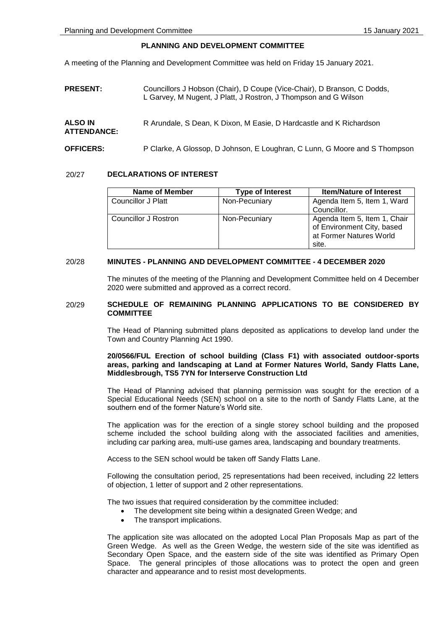## **PLANNING AND DEVELOPMENT COMMITTEE**

A meeting of the Planning and Development Committee was held on Friday 15 January 2021.

**PRESENT:** Councillors J Hobson (Chair), D Coupe (Vice-Chair), D Branson, C Dodds, L Garvey, M Nugent, J Platt, J Rostron, J Thompson and G Wilson

#### **ALSO IN ATTENDANCE:** R Arundale, S Dean, K Dixon, M Easie, D Hardcastle and K Richardson

**OFFICERS:** P Clarke, A Glossop, D Johnson, E Loughran, C Lunn, G Moore and S Thompson

## 20/27 **DECLARATIONS OF INTEREST**

| Name of Member       | <b>Type of Interest</b> | <b>Item/Nature of Interest</b> |
|----------------------|-------------------------|--------------------------------|
| Councillor J Platt   | Non-Pecuniary           | Agenda Item 5, Item 1, Ward    |
|                      |                         | Councillor.                    |
| Councillor J Rostron | Non-Pecuniary           | Agenda Item 5, Item 1, Chair   |
|                      |                         | of Environment City, based     |
|                      |                         | at Former Natures World        |
|                      |                         | site.                          |

## 20/28 **MINUTES - PLANNING AND DEVELOPMENT COMMITTEE - 4 DECEMBER 2020**

The minutes of the meeting of the Planning and Development Committee held on 4 December 2020 were submitted and approved as a correct record.

## 20/29 **SCHEDULE OF REMAINING PLANNING APPLICATIONS TO BE CONSIDERED BY COMMITTEE**

The Head of Planning submitted plans deposited as applications to develop land under the Town and Country Planning Act 1990.

## **20/0566/FUL Erection of school building (Class F1) with associated outdoor-sports areas, parking and landscaping at Land at Former Natures World, Sandy Flatts Lane, Middlesbrough, TS5 7YN for Interserve Construction Ltd**

The Head of Planning advised that planning permission was sought for the erection of a Special Educational Needs (SEN) school on a site to the north of Sandy Flatts Lane, at the southern end of the former Nature's World site.

The application was for the erection of a single storey school building and the proposed scheme included the school building along with the associated facilities and amenities, including car parking area, multi-use games area, landscaping and boundary treatments.

Access to the SEN school would be taken off Sandy Flatts Lane.

Following the consultation period, 25 representations had been received, including 22 letters of objection, 1 letter of support and 2 other representations.

The two issues that required consideration by the committee included:

- The development site being within a designated Green Wedge; and
- The transport implications.

The application site was allocated on the adopted Local Plan Proposals Map as part of the Green Wedge. As well as the Green Wedge, the western side of the site was identified as Secondary Open Space, and the eastern side of the site was identified as Primary Open Space. The general principles of those allocations was to protect the open and green character and appearance and to resist most developments.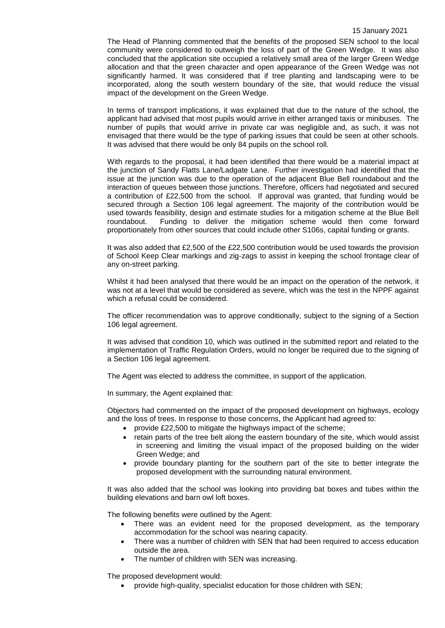The Head of Planning commented that the benefits of the proposed SEN school to the local community were considered to outweigh the loss of part of the Green Wedge. It was also concluded that the application site occupied a relatively small area of the larger Green Wedge allocation and that the green character and open appearance of the Green Wedge was not significantly harmed. It was considered that if tree planting and landscaping were to be incorporated, along the south western boundary of the site, that would reduce the visual impact of the development on the Green Wedge.

In terms of transport implications, it was explained that due to the nature of the school, the applicant had advised that most pupils would arrive in either arranged taxis or minibuses. The number of pupils that would arrive in private car was negligible and, as such, it was not envisaged that there would be the type of parking issues that could be seen at other schools. It was advised that there would be only 84 pupils on the school roll.

With regards to the proposal, it had been identified that there would be a material impact at the junction of Sandy Flatts Lane/Ladgate Lane. Further investigation had identified that the issue at the junction was due to the operation of the adjacent Blue Bell roundabout and the interaction of queues between those junctions. Therefore, officers had negotiated and secured a contribution of £22,500 from the school. If approval was granted, that funding would be secured through a Section 106 legal agreement. The majority of the contribution would be used towards feasibility, design and estimate studies for a mitigation scheme at the Blue Bell roundabout. Funding to deliver the mitigation scheme would then come forward proportionately from other sources that could include other S106s, capital funding or grants.

It was also added that £2,500 of the £22,500 contribution would be used towards the provision of School Keep Clear markings and zig-zags to assist in keeping the school frontage clear of any on-street parking.

Whilst it had been analysed that there would be an impact on the operation of the network, it was not at a level that would be considered as severe, which was the test in the NPPF against which a refusal could be considered.

The officer recommendation was to approve conditionally, subject to the signing of a Section 106 legal agreement.

It was advised that condition 10, which was outlined in the submitted report and related to the implementation of Traffic Regulation Orders, would no longer be required due to the signing of a Section 106 legal agreement.

The Agent was elected to address the committee, in support of the application.

In summary, the Agent explained that:

Objectors had commented on the impact of the proposed development on highways, ecology and the loss of trees. In response to those concerns, the Applicant had agreed to:

- provide £22,500 to mitigate the highways impact of the scheme;
- retain parts of the tree belt along the eastern boundary of the site, which would assist in screening and limiting the visual impact of the proposed building on the wider Green Wedge; and
- provide boundary planting for the southern part of the site to better integrate the proposed development with the surrounding natural environment.

It was also added that the school was looking into providing bat boxes and tubes within the building elevations and barn owl loft boxes.

The following benefits were outlined by the Agent:

- There was an evident need for the proposed development, as the temporary accommodation for the school was nearing capacity.
- There was a number of children with SEN that had been required to access education outside the area.
- The number of children with SEN was increasing.

The proposed development would:

provide high-quality, specialist education for those children with SEN;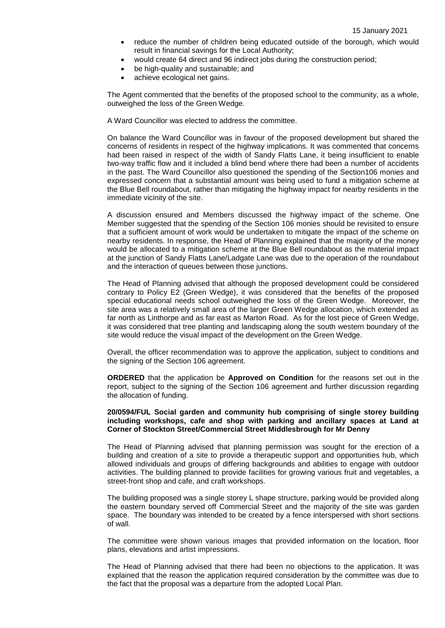- reduce the number of children being educated outside of the borough, which would result in financial savings for the Local Authority;
- would create 64 direct and 96 indirect jobs during the construction period;
- be high-quality and sustainable; and
- achieve ecological net gains.

The Agent commented that the benefits of the proposed school to the community, as a whole, outweighed the loss of the Green Wedge.

A Ward Councillor was elected to address the committee.

On balance the Ward Councillor was in favour of the proposed development but shared the concerns of residents in respect of the highway implications. It was commented that concerns had been raised in respect of the width of Sandy Flatts Lane, it being insufficient to enable two-way traffic flow and it included a blind bend where there had been a number of accidents in the past. The Ward Councillor also questioned the spending of the Section106 monies and expressed concern that a substantial amount was being used to fund a mitigation scheme at the Blue Bell roundabout, rather than mitigating the highway impact for nearby residents in the immediate vicinity of the site.

A discussion ensured and Members discussed the highway impact of the scheme. One Member suggested that the spending of the Section 106 monies should be revisited to ensure that a sufficient amount of work would be undertaken to mitigate the impact of the scheme on nearby residents. In response, the Head of Planning explained that the majority of the money would be allocated to a mitigation scheme at the Blue Bell roundabout as the material impact at the junction of Sandy Flatts Lane/Ladgate Lane was due to the operation of the roundabout and the interaction of queues between those junctions.

The Head of Planning advised that although the proposed development could be considered contrary to Policy E2 (Green Wedge), it was considered that the benefits of the proposed special educational needs school outweighed the loss of the Green Wedge. Moreover, the site area was a relatively small area of the larger Green Wedge allocation, which extended as far north as Linthorpe and as far east as Marton Road. As for the lost piece of Green Wedge, it was considered that tree planting and landscaping along the south western boundary of the site would reduce the visual impact of the development on the Green Wedge.

Overall, the officer recommendation was to approve the application, subject to conditions and the signing of the Section 106 agreement.

**ORDERED** that the application be **Approved on Condition** for the reasons set out in the report, subject to the signing of the Section 106 agreement and further discussion regarding the allocation of funding.

## **20/0594/FUL Social garden and community hub comprising of single storey building including workshops, cafe and shop with parking and ancillary spaces at Land at Corner of Stockton Street/Commercial Street Middlesbrough for Mr Denny**

The Head of Planning advised that planning permission was sought for the erection of a building and creation of a site to provide a therapeutic support and opportunities hub, which allowed individuals and groups of differing backgrounds and abilities to engage with outdoor activities. The building planned to provide facilities for growing various fruit and vegetables, a street-front shop and cafe, and craft workshops.

The building proposed was a single storey L shape structure, parking would be provided along the eastern boundary served off Commercial Street and the majority of the site was garden space. The boundary was intended to be created by a fence interspersed with short sections of wall.

The committee were shown various images that provided information on the location, floor plans, elevations and artist impressions.

The Head of Planning advised that there had been no objections to the application. It was explained that the reason the application required consideration by the committee was due to the fact that the proposal was a departure from the adopted Local Plan.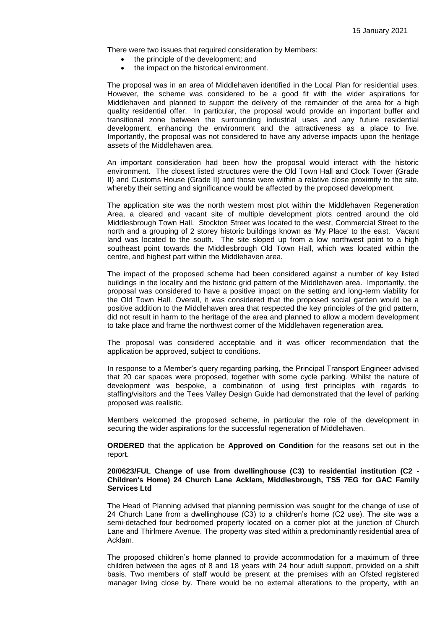There were two issues that required consideration by Members:

- the principle of the development: and
- the impact on the historical environment.

The proposal was in an area of Middlehaven identified in the Local Plan for residential uses. However, the scheme was considered to be a good fit with the wider aspirations for Middlehaven and planned to support the delivery of the remainder of the area for a high quality residential offer. In particular, the proposal would provide an important buffer and transitional zone between the surrounding industrial uses and any future residential development, enhancing the environment and the attractiveness as a place to live. Importantly, the proposal was not considered to have any adverse impacts upon the heritage assets of the Middlehaven area.

An important consideration had been how the proposal would interact with the historic environment. The closest listed structures were the Old Town Hall and Clock Tower (Grade II) and Customs House (Grade II) and those were within a relative close proximity to the site, whereby their setting and significance would be affected by the proposed development.

The application site was the north western most plot within the Middlehaven Regeneration Area, a cleared and vacant site of multiple development plots centred around the old Middlesbrough Town Hall. Stockton Street was located to the west, Commercial Street to the north and a grouping of 2 storey historic buildings known as 'My Place' to the east. Vacant land was located to the south. The site sloped up from a low northwest point to a high southeast point towards the Middlesbrough Old Town Hall, which was located within the centre, and highest part within the Middlehaven area.

The impact of the proposed scheme had been considered against a number of key listed buildings in the locality and the historic grid pattern of the Middlehaven area. Importantly, the proposal was considered to have a positive impact on the setting and long-term viability for the Old Town Hall. Overall, it was considered that the proposed social garden would be a positive addition to the Middlehaven area that respected the key principles of the grid pattern, did not result in harm to the heritage of the area and planned to allow a modern development to take place and frame the northwest corner of the Middlehaven regeneration area.

The proposal was considered acceptable and it was officer recommendation that the application be approved, subject to conditions.

In response to a Member's query regarding parking, the Principal Transport Engineer advised that 20 car spaces were proposed, together with some cycle parking. Whilst the nature of development was bespoke, a combination of using first principles with regards to staffing/visitors and the Tees Valley Design Guide had demonstrated that the level of parking proposed was realistic.

Members welcomed the proposed scheme, in particular the role of the development in securing the wider aspirations for the successful regeneration of Middlehaven.

**ORDERED** that the application be **Approved on Condition** for the reasons set out in the report.

## **20/0623/FUL Change of use from dwellinghouse (C3) to residential institution (C2 - Children's Home) 24 Church Lane Acklam, Middlesbrough, TS5 7EG for GAC Family Services Ltd**

The Head of Planning advised that planning permission was sought for the change of use of 24 Church Lane from a dwellinghouse (C3) to a children's home (C2 use). The site was a semi-detached four bedroomed property located on a corner plot at the junction of Church Lane and Thirlmere Avenue. The property was sited within a predominantly residential area of Acklam.

The proposed children's home planned to provide accommodation for a maximum of three children between the ages of 8 and 18 years with 24 hour adult support, provided on a shift basis. Two members of staff would be present at the premises with an Ofsted registered manager living close by. There would be no external alterations to the property, with an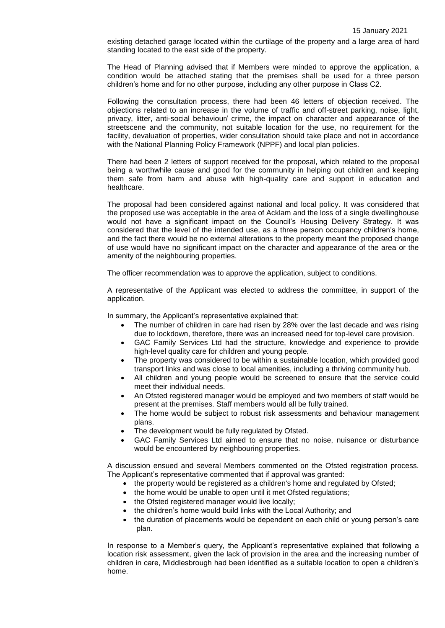existing detached garage located within the curtilage of the property and a large area of hard standing located to the east side of the property.

The Head of Planning advised that if Members were minded to approve the application, a condition would be attached stating that the premises shall be used for a three person children's home and for no other purpose, including any other purpose in Class C2.

Following the consultation process, there had been 46 letters of objection received. The objections related to an increase in the volume of traffic and off-street parking, noise, light, privacy, litter, anti-social behaviour/ crime, the impact on character and appearance of the streetscene and the community, not suitable location for the use, no requirement for the facility, devaluation of properties, wider consultation should take place and not in accordance with the National Planning Policy Framework (NPPF) and local plan policies.

There had been 2 letters of support received for the proposal, which related to the proposal being a worthwhile cause and good for the community in helping out children and keeping them safe from harm and abuse with high-quality care and support in education and healthcare.

The proposal had been considered against national and local policy. It was considered that the proposed use was acceptable in the area of Acklam and the loss of a single dwellinghouse would not have a significant impact on the Council's Housing Delivery Strategy. It was considered that the level of the intended use, as a three person occupancy children's home, and the fact there would be no external alterations to the property meant the proposed change of use would have no significant impact on the character and appearance of the area or the amenity of the neighbouring properties.

The officer recommendation was to approve the application, subject to conditions.

A representative of the Applicant was elected to address the committee, in support of the application.

In summary, the Applicant's representative explained that:

- The number of children in care had risen by 28% over the last decade and was rising due to lockdown, therefore, there was an increased need for top-level care provision.
- GAC Family Services Ltd had the structure, knowledge and experience to provide high-level quality care for children and young people.
- The property was considered to be within a sustainable location, which provided good transport links and was close to local amenities, including a thriving community hub.
- All children and young people would be screened to ensure that the service could meet their individual needs.
- An Ofsted registered manager would be employed and two members of staff would be present at the premises. Staff members would all be fully trained.
- The home would be subject to robust risk assessments and behaviour management plans.
- The development would be fully regulated by Ofsted.
- GAC Family Services Ltd aimed to ensure that no noise, nuisance or disturbance would be encountered by neighbouring properties.

A discussion ensued and several Members commented on the Ofsted registration process. The Applicant's representative commented that if approval was granted:

- the property would be registered as a children's home and regulated by Ofsted;
- the home would be unable to open until it met Ofsted regulations;
- the Ofsted registered manager would live locally;
- the children's home would build links with the Local Authority; and
- the duration of placements would be dependent on each child or young person's care plan.

In response to a Member's query, the Applicant's representative explained that following a location risk assessment, given the lack of provision in the area and the increasing number of children in care, Middlesbrough had been identified as a suitable location to open a children's home.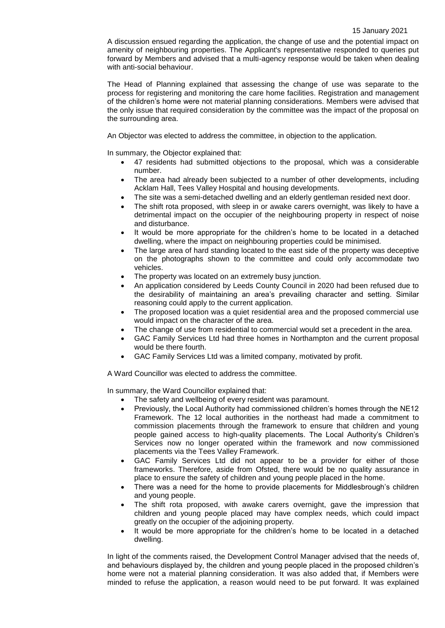A discussion ensued regarding the application, the change of use and the potential impact on amenity of neighbouring properties. The Applicant's representative responded to queries put forward by Members and advised that a multi-agency response would be taken when dealing with anti-social behaviour.

The Head of Planning explained that assessing the change of use was separate to the process for registering and monitoring the care home facilities. Registration and management of the children's home were not material planning considerations. Members were advised that the only issue that required consideration by the committee was the impact of the proposal on the surrounding area.

An Objector was elected to address the committee, in objection to the application.

In summary, the Objector explained that:

- 47 residents had submitted objections to the proposal, which was a considerable number.
- The area had already been subjected to a number of other developments, including Acklam Hall, Tees Valley Hospital and housing developments.
- The site was a semi-detached dwelling and an elderly gentleman resided next door.
- The shift rota proposed, with sleep in or awake carers overnight, was likely to have a detrimental impact on the occupier of the neighbouring property in respect of noise and disturbance.
- It would be more appropriate for the children's home to be located in a detached dwelling, where the impact on neighbouring properties could be minimised.
- The large area of hard standing located to the east side of the property was deceptive on the photographs shown to the committee and could only accommodate two vehicles.
- The property was located on an extremely busy junction.
- An application considered by Leeds County Council in 2020 had been refused due to the desirability of maintaining an area's prevailing character and setting. Similar reasoning could apply to the current application.
- The proposed location was a quiet residential area and the proposed commercial use would impact on the character of the area.
- The change of use from residential to commercial would set a precedent in the area.
- GAC Family Services Ltd had three homes in Northampton and the current proposal would be there fourth.
- GAC Family Services Ltd was a limited company, motivated by profit.

A Ward Councillor was elected to address the committee.

In summary, the Ward Councillor explained that:

- The safety and wellbeing of every resident was paramount.
- Previously, the Local Authority had commissioned children's homes through the NE12 Framework. The 12 local authorities in the northeast had made a commitment to commission placements through the framework to ensure that children and young people gained access to high-quality placements. The Local Authority's Children's Services now no longer operated within the framework and now commissioned placements via the Tees Valley Framework.
- GAC Family Services Ltd did not appear to be a provider for either of those frameworks. Therefore, aside from Ofsted, there would be no quality assurance in place to ensure the safety of children and young people placed in the home.
- There was a need for the home to provide placements for Middlesbrough's children and young people.
- The shift rota proposed, with awake carers overnight, gave the impression that children and young people placed may have complex needs, which could impact greatly on the occupier of the adjoining property.
- It would be more appropriate for the children's home to be located in a detached dwelling.

In light of the comments raised, the Development Control Manager advised that the needs of, and behaviours displayed by, the children and young people placed in the proposed children's home were not a material planning consideration. It was also added that, if Members were minded to refuse the application, a reason would need to be put forward. It was explained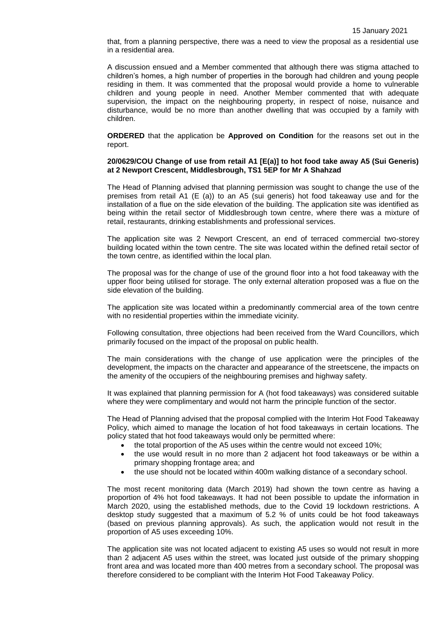that, from a planning perspective, there was a need to view the proposal as a residential use in a residential area.

A discussion ensued and a Member commented that although there was stigma attached to children's homes, a high number of properties in the borough had children and young people residing in them. It was commented that the proposal would provide a home to vulnerable children and young people in need. Another Member commented that with adequate supervision, the impact on the neighbouring property, in respect of noise, nuisance and disturbance, would be no more than another dwelling that was occupied by a family with children.

**ORDERED** that the application be **Approved on Condition** for the reasons set out in the report.

#### **20/0629/COU Change of use from retail A1 [E(a)] to hot food take away A5 (Sui Generis) at 2 Newport Crescent, Middlesbrough, TS1 5EP for Mr A Shahzad**

The Head of Planning advised that planning permission was sought to change the use of the premises from retail A1 (E (a)) to an A5 (sui generis) hot food takeaway use and for the installation of a flue on the side elevation of the building. The application site was identified as being within the retail sector of Middlesbrough town centre, where there was a mixture of retail, restaurants, drinking establishments and professional services.

The application site was 2 Newport Crescent, an end of terraced commercial two-storey building located within the town centre. The site was located within the defined retail sector of the town centre, as identified within the local plan.

The proposal was for the change of use of the ground floor into a hot food takeaway with the upper floor being utilised for storage. The only external alteration proposed was a flue on the side elevation of the building.

The application site was located within a predominantly commercial area of the town centre with no residential properties within the immediate vicinity.

Following consultation, three objections had been received from the Ward Councillors, which primarily focused on the impact of the proposal on public health.

The main considerations with the change of use application were the principles of the development, the impacts on the character and appearance of the streetscene, the impacts on the amenity of the occupiers of the neighbouring premises and highway safety.

It was explained that planning permission for A (hot food takeaways) was considered suitable where they were complimentary and would not harm the principle function of the sector.

The Head of Planning advised that the proposal complied with the Interim Hot Food Takeaway Policy, which aimed to manage the location of hot food takeaways in certain locations. The policy stated that hot food takeaways would only be permitted where:

- the total proportion of the A5 uses within the centre would not exceed 10%;
- the use would result in no more than 2 adjacent hot food takeaways or be within a primary shopping frontage area; and
- the use should not be located within 400m walking distance of a secondary school.

The most recent monitoring data (March 2019) had shown the town centre as having a proportion of 4% hot food takeaways. It had not been possible to update the information in March 2020, using the established methods, due to the Covid 19 lockdown restrictions. A desktop study suggested that a maximum of 5.2 % of units could be hot food takeaways (based on previous planning approvals). As such, the application would not result in the proportion of A5 uses exceeding 10%.

The application site was not located adjacent to existing A5 uses so would not result in more than 2 adjacent A5 uses within the street, was located just outside of the primary shopping front area and was located more than 400 metres from a secondary school. The proposal was therefore considered to be compliant with the Interim Hot Food Takeaway Policy.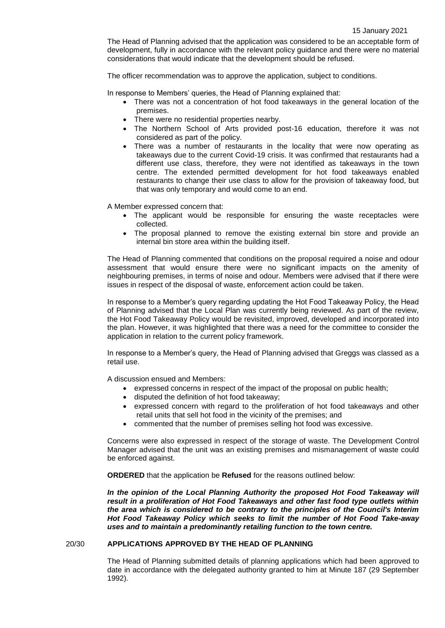The Head of Planning advised that the application was considered to be an acceptable form of development, fully in accordance with the relevant policy guidance and there were no material considerations that would indicate that the development should be refused.

The officer recommendation was to approve the application, subject to conditions.

In response to Members' queries, the Head of Planning explained that:

- There was not a concentration of hot food takeaways in the general location of the premises.
- There were no residential properties nearby.
- The Northern School of Arts provided post-16 education, therefore it was not considered as part of the policy.
- There was a number of restaurants in the locality that were now operating as takeaways due to the current Covid-19 crisis. It was confirmed that restaurants had a different use class, therefore, they were not identified as takeaways in the town centre. The extended permitted development for hot food takeaways enabled restaurants to change their use class to allow for the provision of takeaway food, but that was only temporary and would come to an end.

A Member expressed concern that:

- The applicant would be responsible for ensuring the waste receptacles were collected.
- The proposal planned to remove the existing external bin store and provide an internal bin store area within the building itself.

The Head of Planning commented that conditions on the proposal required a noise and odour assessment that would ensure there were no significant impacts on the amenity of neighbouring premises, in terms of noise and odour. Members were advised that if there were issues in respect of the disposal of waste, enforcement action could be taken.

In response to a Member's query regarding updating the Hot Food Takeaway Policy, the Head of Planning advised that the Local Plan was currently being reviewed. As part of the review, the Hot Food Takeaway Policy would be revisited, improved, developed and incorporated into the plan. However, it was highlighted that there was a need for the committee to consider the application in relation to the current policy framework.

In response to a Member's query, the Head of Planning advised that Greggs was classed as a retail use.

A discussion ensued and Members:

- expressed concerns in respect of the impact of the proposal on public health;
- disputed the definition of hot food takeaway;
- expressed concern with regard to the proliferation of hot food takeaways and other retail units that sell hot food in the vicinity of the premises; and
- commented that the number of premises selling hot food was excessive.

Concerns were also expressed in respect of the storage of waste. The Development Control Manager advised that the unit was an existing premises and mismanagement of waste could be enforced against.

**ORDERED** that the application be **Refused** for the reasons outlined below:

In the opinion of the Local Planning Authority the proposed Hot Food Takeaway will *result in a proliferation of Hot Food Takeaways and other fast food type outlets within the area which is considered to be contrary to the principles of the Council's Interim Hot Food Takeaway Policy which seeks to limit the number of Hot Food Take-away uses and to maintain a predominantly retailing function to the town centre.*

#### 20/30 **APPLICATIONS APPROVED BY THE HEAD OF PLANNING**

The Head of Planning submitted details of planning applications which had been approved to date in accordance with the delegated authority granted to him at Minute 187 (29 September 1992).